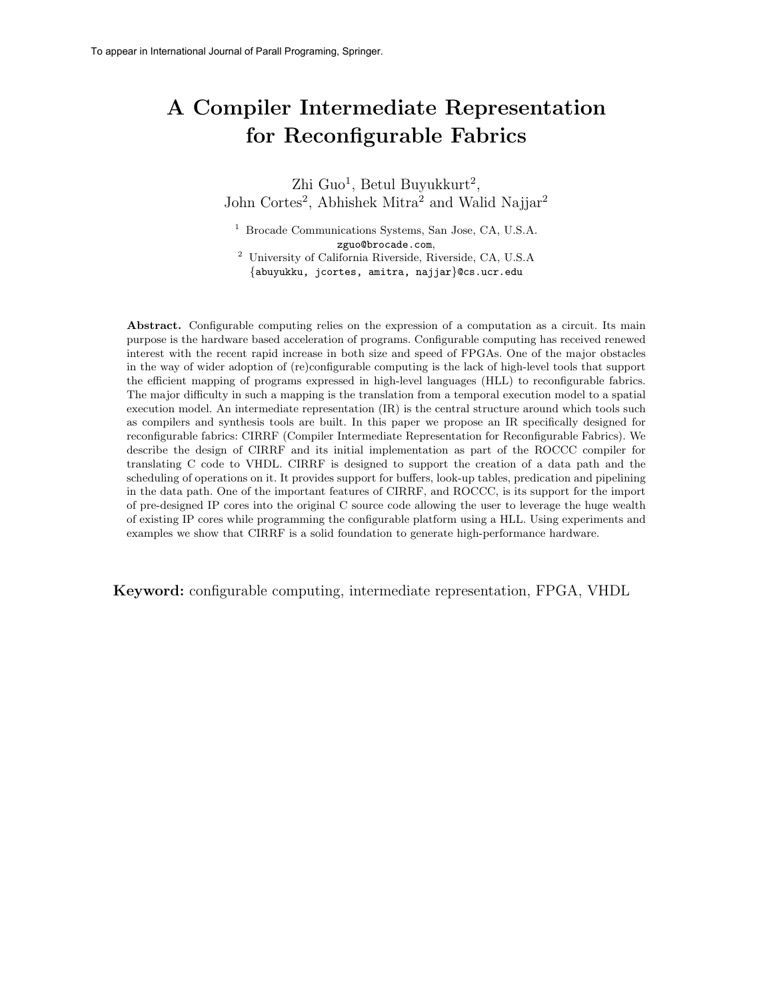# A Compiler Intermediate Representation for Reconfigurable Fabrics

 $\rm Zhi~Guo<sup>1</sup>,~Betul~Buyukkurt<sup>2</sup>,$ John Cortes<sup>2</sup>, Abhishek Mitra<sup>2</sup> and Walid Najjar<sup>2</sup>

<sup>1</sup> Brocade Communications Systems, San Jose, CA, U.S.A. zguo@brocade.com,

<sup>2</sup> University of California Riverside, Riverside, CA, U.S.A {abuyukku, jcortes, amitra, najjar}@cs.ucr.edu

Abstract. Configurable computing relies on the expression of a computation as a circuit. Its main purpose is the hardware based acceleration of programs. Configurable computing has received renewed interest with the recent rapid increase in both size and speed of FPGAs. One of the major obstacles in the way of wider adoption of (re)configurable computing is the lack of high-level tools that support the efficient mapping of programs expressed in high-level languages (HLL) to reconfigurable fabrics. The major difficulty in such a mapping is the translation from a temporal execution model to a spatial execution model. An intermediate representation (IR) is the central structure around which tools such as compilers and synthesis tools are built. In this paper we propose an IR specifically designed for reconfigurable fabrics: CIRRF (Compiler Intermediate Representation for Reconfigurable Fabrics). We describe the design of CIRRF and its initial implementation as part of the ROCCC compiler for translating C code to VHDL. CIRRF is designed to support the creation of a data path and the scheduling of operations on it. It provides support for buffers, look-up tables, predication and pipelining in the data path. One of the important features of CIRRF, and ROCCC, is its support for the import of pre-designed IP cores into the original C source code allowing the user to leverage the huge wealth of existing IP cores while programming the configurable platform using a HLL. Using experiments and examples we show that CIRRF is a solid foundation to generate high-performance hardware.

Keyword: configurable computing, intermediate representation, FPGA, VHDL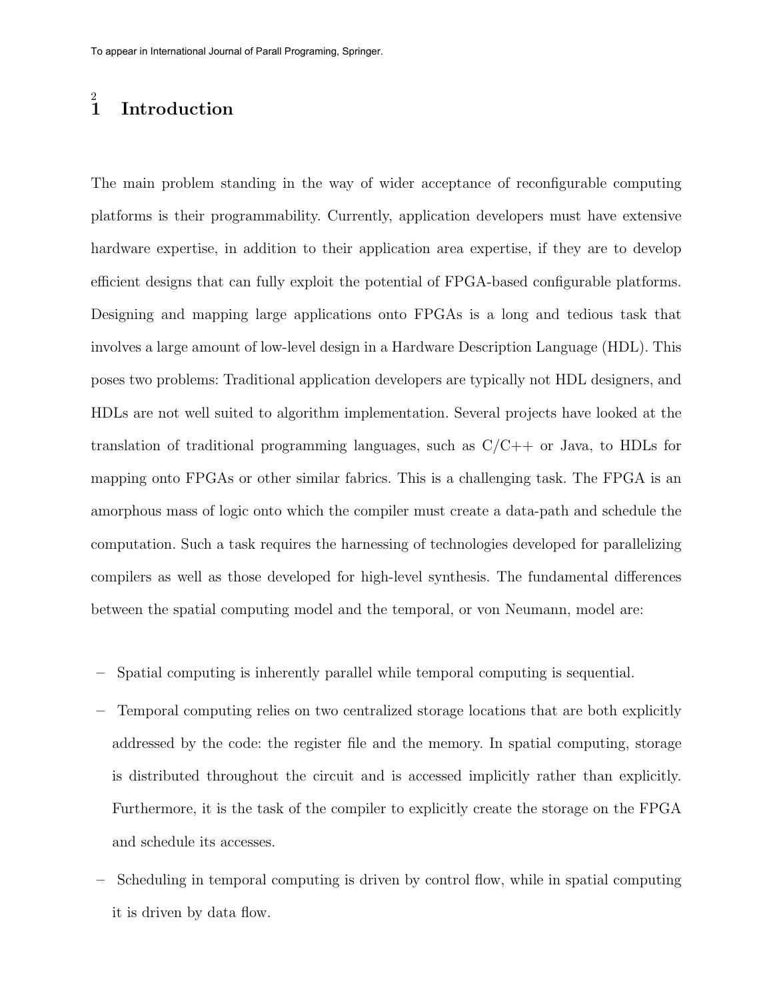#### 2 **Introduction**

The main problem standing in the way of wider acceptance of reconfigurable computing platforms is their programmability. Currently, application developers must have extensive hardware expertise, in addition to their application area expertise, if they are to develop efficient designs that can fully exploit the potential of FPGA-based configurable platforms. Designing and mapping large applications onto FPGAs is a long and tedious task that involves a large amount of low-level design in a Hardware Description Language (HDL). This poses two problems: Traditional application developers are typically not HDL designers, and HDLs are not well suited to algorithm implementation. Several projects have looked at the translation of traditional programming languages, such as  $C/C++$  or Java, to HDLs for mapping onto FPGAs or other similar fabrics. This is a challenging task. The FPGA is an amorphous mass of logic onto which the compiler must create a data-path and schedule the computation. Such a task requires the harnessing of technologies developed for parallelizing compilers as well as those developed for high-level synthesis. The fundamental differences between the spatial computing model and the temporal, or von Neumann, model are:

- Spatial computing is inherently parallel while temporal computing is sequential.
- Temporal computing relies on two centralized storage locations that are both explicitly addressed by the code: the register file and the memory. In spatial computing, storage is distributed throughout the circuit and is accessed implicitly rather than explicitly. Furthermore, it is the task of the compiler to explicitly create the storage on the FPGA and schedule its accesses.
- Scheduling in temporal computing is driven by control flow, while in spatial computing it is driven by data flow.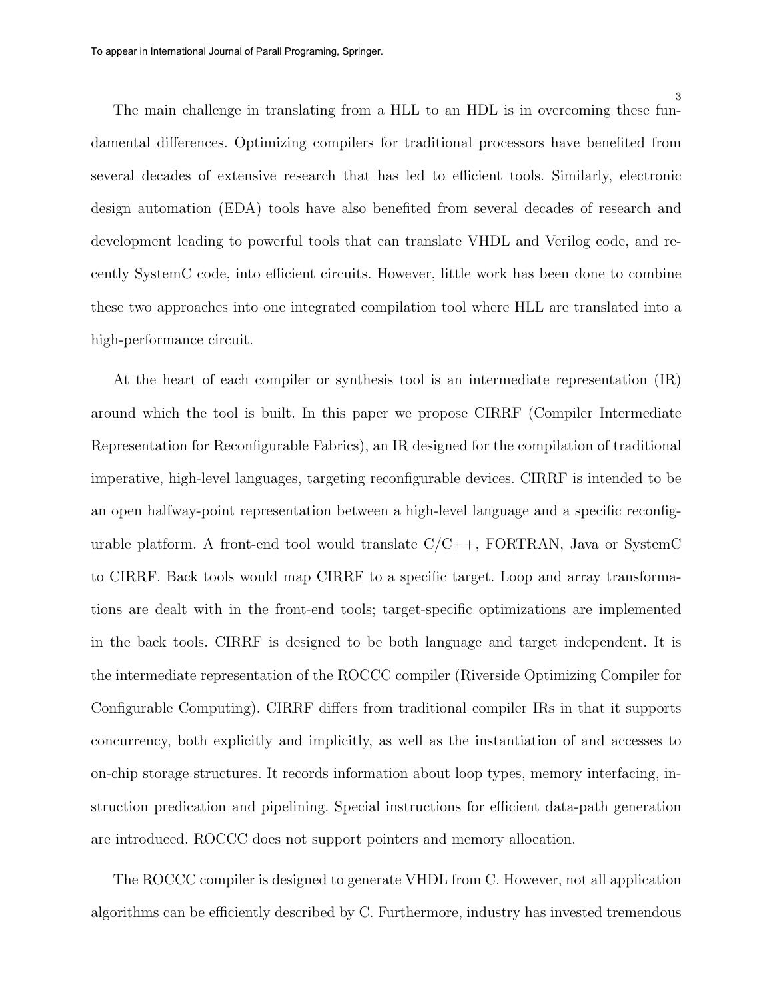The main challenge in translating from a HLL to an HDL is in overcoming these fundamental differences. Optimizing compilers for traditional processors have benefited from several decades of extensive research that has led to efficient tools. Similarly, electronic design automation (EDA) tools have also benefited from several decades of research and development leading to powerful tools that can translate VHDL and Verilog code, and recently SystemC code, into efficient circuits. However, little work has been done to combine these two approaches into one integrated compilation tool where HLL are translated into a high-performance circuit.

At the heart of each compiler or synthesis tool is an intermediate representation (IR) around which the tool is built. In this paper we propose CIRRF (Compiler Intermediate Representation for Reconfigurable Fabrics), an IR designed for the compilation of traditional imperative, high-level languages, targeting reconfigurable devices. CIRRF is intended to be an open halfway-point representation between a high-level language and a specific reconfigurable platform. A front-end tool would translate  $C/C++$ , FORTRAN, Java or SystemC to CIRRF. Back tools would map CIRRF to a specific target. Loop and array transformations are dealt with in the front-end tools; target-specific optimizations are implemented in the back tools. CIRRF is designed to be both language and target independent. It is the intermediate representation of the ROCCC compiler (Riverside Optimizing Compiler for Configurable Computing). CIRRF differs from traditional compiler IRs in that it supports concurrency, both explicitly and implicitly, as well as the instantiation of and accesses to on-chip storage structures. It records information about loop types, memory interfacing, instruction predication and pipelining. Special instructions for efficient data-path generation are introduced. ROCCC does not support pointers and memory allocation.

The ROCCC compiler is designed to generate VHDL from C. However, not all application algorithms can be efficiently described by C. Furthermore, industry has invested tremendous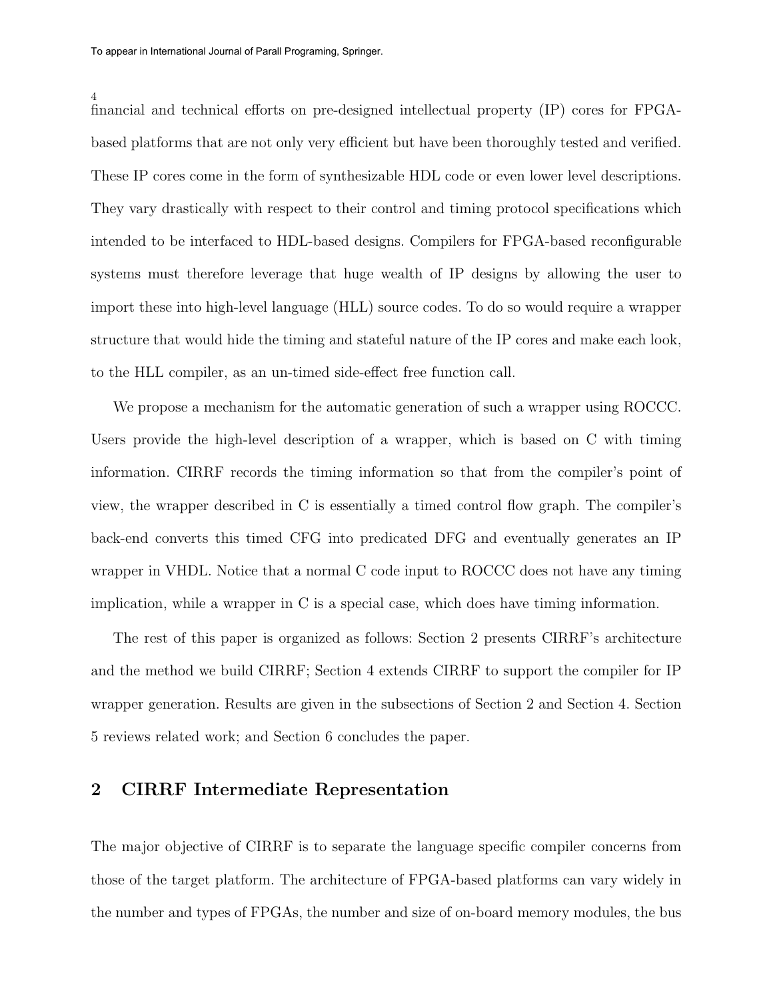financial and technical efforts on pre-designed intellectual property (IP) cores for FPGAbased platforms that are not only very efficient but have been thoroughly tested and verified. These IP cores come in the form of synthesizable HDL code or even lower level descriptions. They vary drastically with respect to their control and timing protocol specifications which intended to be interfaced to HDL-based designs. Compilers for FPGA-based reconfigurable systems must therefore leverage that huge wealth of IP designs by allowing the user to import these into high-level language (HLL) source codes. To do so would require a wrapper structure that would hide the timing and stateful nature of the IP cores and make each look, to the HLL compiler, as an un-timed side-effect free function call.

We propose a mechanism for the automatic generation of such a wrapper using ROCCC. Users provide the high-level description of a wrapper, which is based on C with timing information. CIRRF records the timing information so that from the compiler's point of view, the wrapper described in C is essentially a timed control flow graph. The compiler's back-end converts this timed CFG into predicated DFG and eventually generates an IP wrapper in VHDL. Notice that a normal C code input to ROCCC does not have any timing implication, while a wrapper in C is a special case, which does have timing information.

The rest of this paper is organized as follows: Section 2 presents CIRRF's architecture and the method we build CIRRF; Section 4 extends CIRRF to support the compiler for IP wrapper generation. Results are given in the subsections of Section 2 and Section 4. Section 5 reviews related work; and Section 6 concludes the paper.

## 2 CIRRF Intermediate Representation

The major objective of CIRRF is to separate the language specific compiler concerns from those of the target platform. The architecture of FPGA-based platforms can vary widely in the number and types of FPGAs, the number and size of on-board memory modules, the bus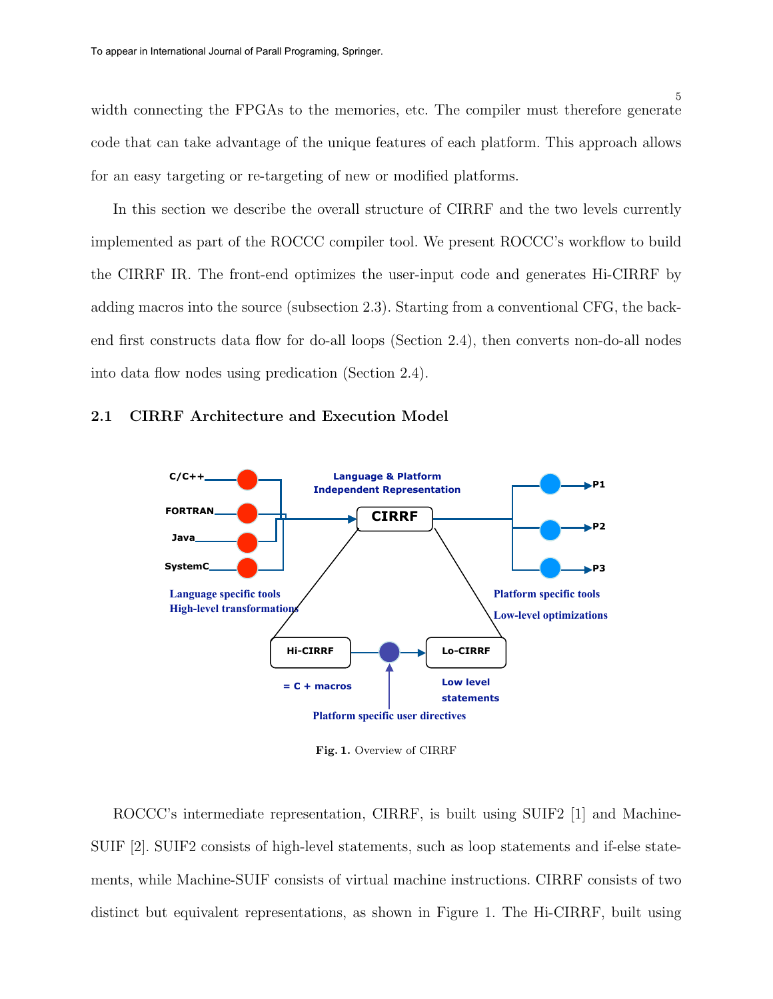width connecting the FPGAs to the memories, etc. The compiler must therefore generate code that can take advantage of the unique features of each platform. This approach allows for an easy targeting or re-targeting of new or modified platforms.

In this section we describe the overall structure of CIRRF and the two levels currently implemented as part of the ROCCC compiler tool. We present ROCCC's workflow to build the CIRRF IR. The front-end optimizes the user-input code and generates Hi-CIRRF by adding macros into the source (subsection 2.3). Starting from a conventional CFG, the backend first constructs data flow for do-all loops (Section 2.4), then converts non-do-all nodes into data flow nodes using predication (Section 2.4).

## 2.1 CIRRF Architecture and Execution Model



Fig. 1. Overview of CIRRF

ROCCC's intermediate representation, CIRRF, is built using SUIF2 [1] and Machine-SUIF [2]. SUIF2 consists of high-level statements, such as loop statements and if-else statements, while Machine-SUIF consists of virtual machine instructions. CIRRF consists of two distinct but equivalent representations, as shown in Figure 1. The Hi-CIRRF, built using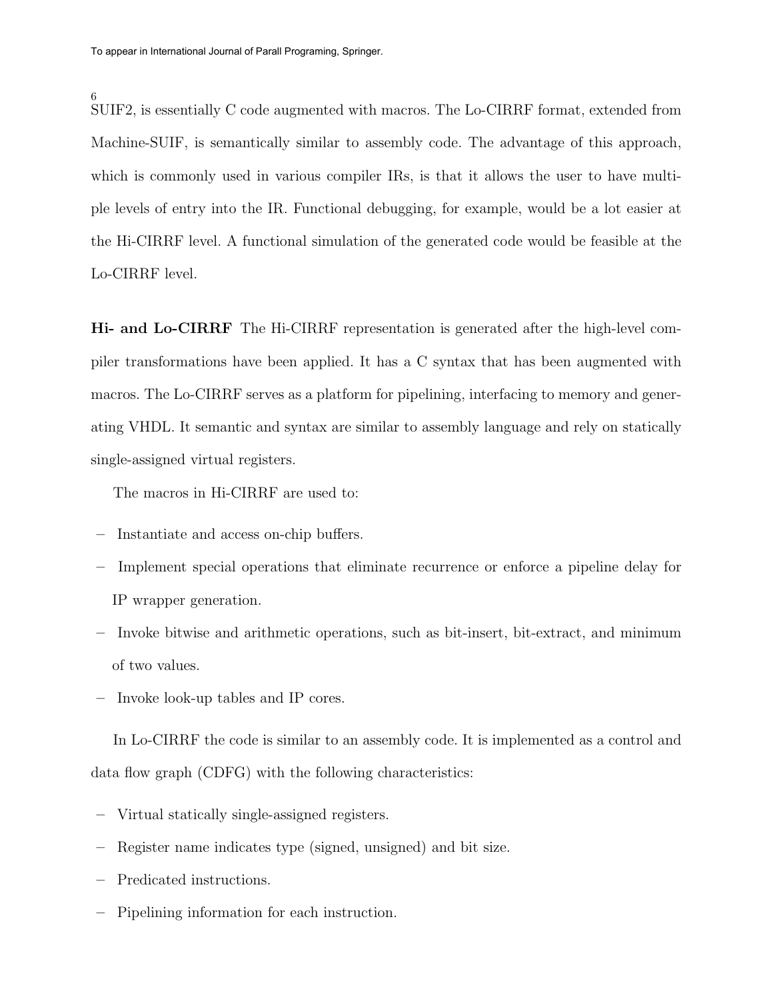6 SUIF2, is essentially C code augmented with macros. The Lo-CIRRF format, extended from Machine-SUIF, is semantically similar to assembly code. The advantage of this approach, which is commonly used in various compiler IRs, is that it allows the user to have multiple levels of entry into the IR. Functional debugging, for example, would be a lot easier at the Hi-CIRRF level. A functional simulation of the generated code would be feasible at the Lo-CIRRF level.

Hi- and Lo-CIRRF The Hi-CIRRF representation is generated after the high-level compiler transformations have been applied. It has a C syntax that has been augmented with macros. The Lo-CIRRF serves as a platform for pipelining, interfacing to memory and generating VHDL. It semantic and syntax are similar to assembly language and rely on statically single-assigned virtual registers.

The macros in Hi-CIRRF are used to:

- Instantiate and access on-chip buffers.
- Implement special operations that eliminate recurrence or enforce a pipeline delay for IP wrapper generation.
- Invoke bitwise and arithmetic operations, such as bit-insert, bit-extract, and minimum of two values.
- Invoke look-up tables and IP cores.

In Lo-CIRRF the code is similar to an assembly code. It is implemented as a control and data flow graph (CDFG) with the following characteristics:

- Virtual statically single-assigned registers.
- Register name indicates type (signed, unsigned) and bit size.
- Predicated instructions.
- Pipelining information for each instruction.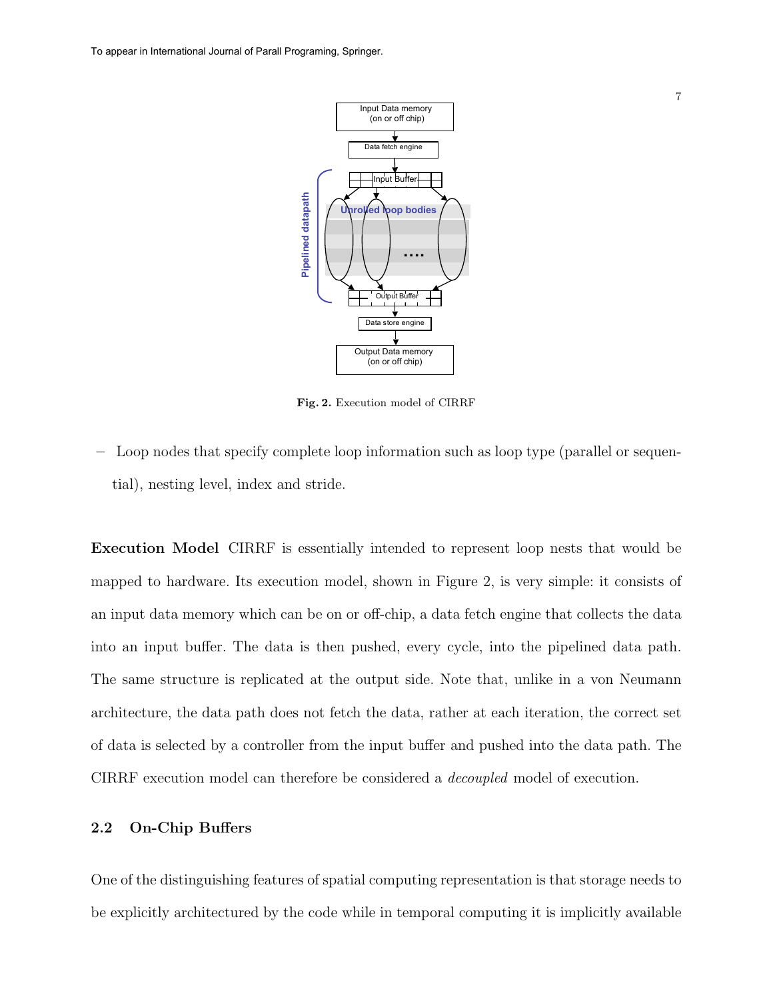To appear in International Journal of Parall Programing, Springer.



Fig. 2. Execution model of CIRRF

– Loop nodes that specify complete loop information such as loop type (parallel or sequential), nesting level, index and stride.

Execution Model CIRRF is essentially intended to represent loop nests that would be mapped to hardware. Its execution model, shown in Figure 2, is very simple: it consists of an input data memory which can be on or off-chip, a data fetch engine that collects the data into an input buffer. The data is then pushed, every cycle, into the pipelined data path. The same structure is replicated at the output side. Note that, unlike in a von Neumann architecture, the data path does not fetch the data, rather at each iteration, the correct set of data is selected by a controller from the input buffer and pushed into the data path. The CIRRF execution model can therefore be considered a decoupled model of execution.

### 2.2 On-Chip Buffers

One of the distinguishing features of spatial computing representation is that storage needs to be explicitly architectured by the code while in temporal computing it is implicitly available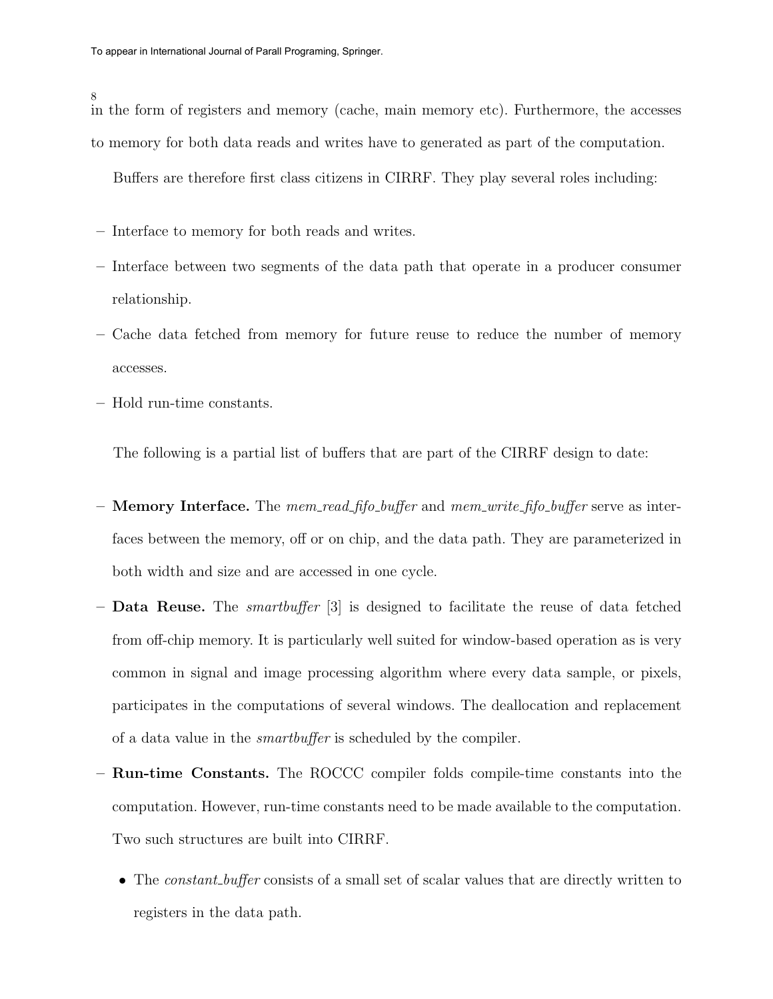#### 8

in the form of registers and memory (cache, main memory etc). Furthermore, the accesses to memory for both data reads and writes have to generated as part of the computation.

Buffers are therefore first class citizens in CIRRF. They play several roles including:

- Interface to memory for both reads and writes.
- Interface between two segments of the data path that operate in a producer consumer relationship.
- Cache data fetched from memory for future reuse to reduce the number of memory accesses.
- Hold run-time constants.

The following is a partial list of buffers that are part of the CIRRF design to date:

- **Memory Interface.** The mem\_read\_fifo\_buffer and mem\_write\_fifo\_buffer serve as interfaces between the memory, off or on chip, and the data path. They are parameterized in both width and size and are accessed in one cycle.
- $-$  **Data Reuse.** The *smartbuffer* [3] is designed to facilitate the reuse of data fetched from off-chip memory. It is particularly well suited for window-based operation as is very common in signal and image processing algorithm where every data sample, or pixels, participates in the computations of several windows. The deallocation and replacement of a data value in the smartbuffer is scheduled by the compiler.
- Run-time Constants. The ROCCC compiler folds compile-time constants into the computation. However, run-time constants need to be made available to the computation. Two such structures are built into CIRRF.
	- The *constant\_buffer* consists of a small set of scalar values that are directly written to registers in the data path.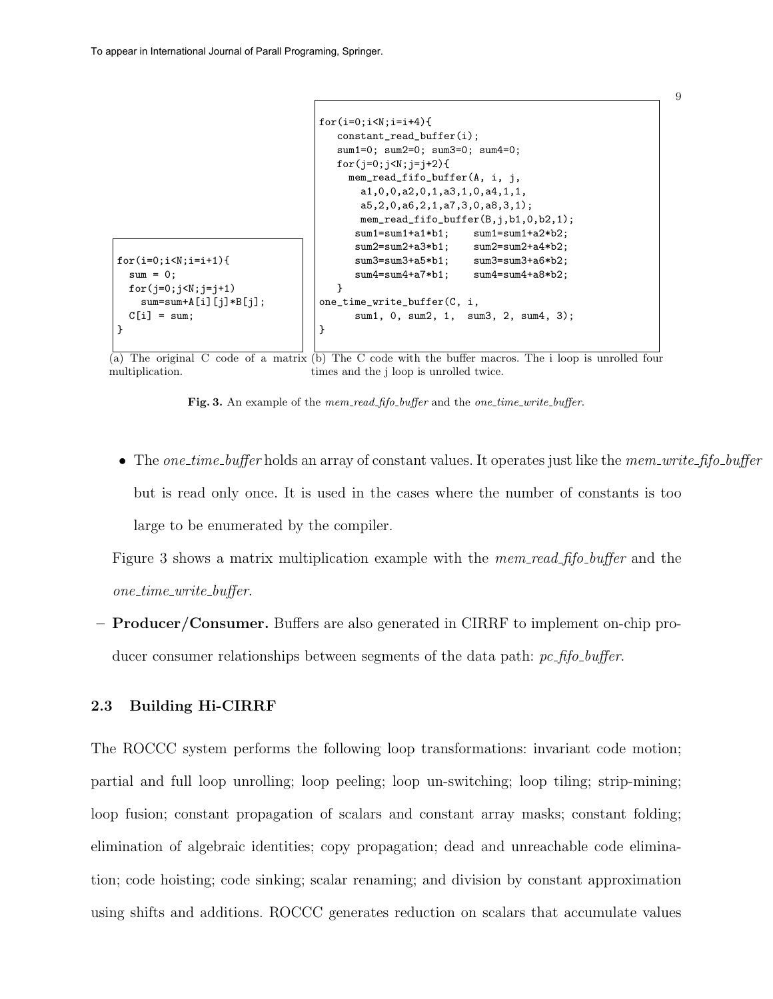```
for(i=0; i < N; i = i + 1){
sum = 0;
for(j=0;j<N;j=j+1)
   sum = sum + A[i][j] * B[j];C[i] = sum;}
                                   for(i=0; i < N; i = i + 4){
                                      constant_read_buffer(i);
                                      sum1=0; sum2=0; sum3=0; sum4=0;
                                      for(j=0; j < N; j = j + 2){
                                        mem_read_fifo_buffer(A, i, j,
                                          a1,0,0,a2,0,1,a3,1,0,a4,1,1,
                                          a5,2,0,a6,2,1,a7,3,0,a8,3,1);
                                          mem_read_fifo_buffer(B,j,b1,0,b2,1);
                                         sum1=sum1+a1*b1; sum1=sum1+a2*b2;
                                         sum2=sum2+a3*b1; sum2=sum2+a4*b2;
                                         sum3=sum3+a5*b1; sum3=sum3+a6*b2;
                                         sum4=sum4+a7*b1; sum4=sum4+a8*b2;
                                     }
                                   one_time_write_buffer(C, i,
                                         sum1, 0, sum2, 1, sum3, 2, sum4, 3);
                                  }
```
(a) The original C code of a matrix (b) The C code with the buffer macros. The i loop is unrolled four multiplication. times and the j loop is unrolled twice.

Fig. 3. An example of the mem\_read\_fifo\_buffer and the one\_time\_write\_buffer.

• The *one\_time\_buffer* holds an array of constant values. It operates just like the *mem\_write\_fifo\_buffer* but is read only once. It is used in the cases where the number of constants is too large to be enumerated by the compiler.

Figure 3 shows a matrix multiplication example with the *mem\_read\_fifo\_buffer* and the  $one_time\_write_buffer.$ 

– Producer/Consumer. Buffers are also generated in CIRRF to implement on-chip producer consumer relationships between segments of the data path:  $pc\text{-}fifo\text{-}buffer.$ 

#### 2.3 Building Hi-CIRRF

The ROCCC system performs the following loop transformations: invariant code motion; partial and full loop unrolling; loop peeling; loop un-switching; loop tiling; strip-mining; loop fusion; constant propagation of scalars and constant array masks; constant folding; elimination of algebraic identities; copy propagation; dead and unreachable code elimination; code hoisting; code sinking; scalar renaming; and division by constant approximation using shifts and additions. ROCCC generates reduction on scalars that accumulate values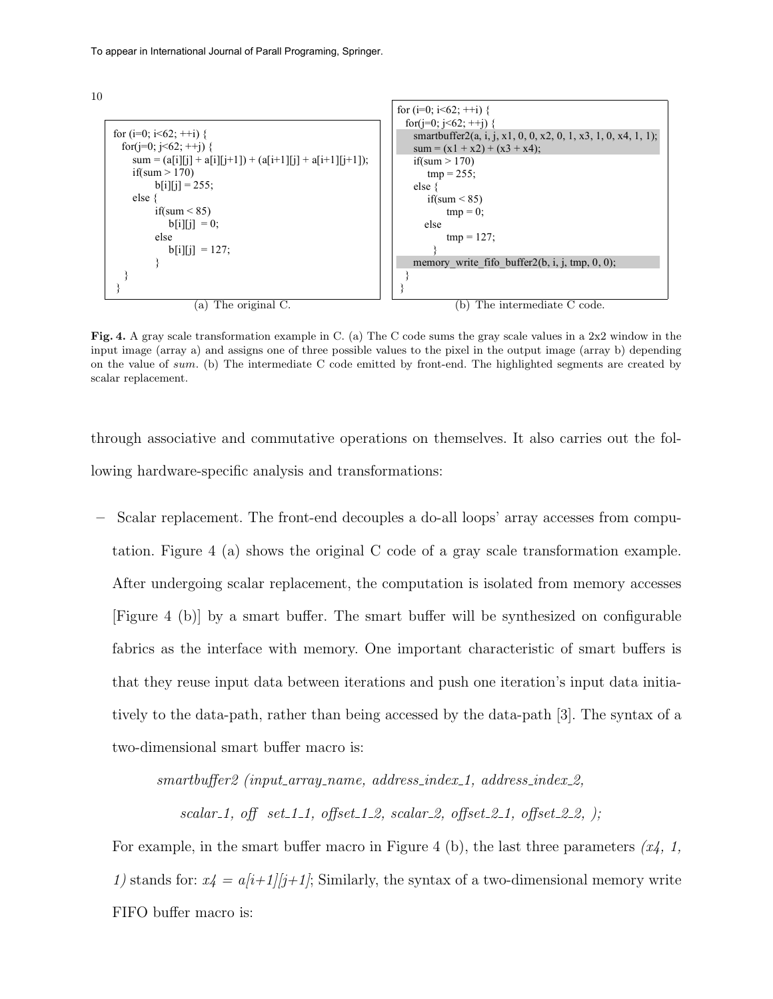

Fig. 4. A gray scale transformation example in C. (a) The C code sums the gray scale values in a  $2x2$  window in the input image (array a) and assigns one of three possible values to the pixel in the output image (array b) depending on the value of sum. (b) The intermediate C code emitted by front-end. The highlighted segments are created by  $\frac{1}{2}$ scalar replacement.

through associative and commutative operations on themselves. It also carries out the following hardware-specific analysis and transformations:

– Scalar replacement. The front-end decouples a do-all loops' array accesses from computation. Figure 4 (a) shows the original C code of a gray scale transformation example. After undergoing scalar replacement, the computation is isolated from memory accesses [Figure 4 (b)] by a smart buffer. The smart buffer will be synthesized on configurable fabrics as the interface with memory. One important characteristic of smart buffers is that they reuse input data between iterations and push one iteration's input data initiatively to the data-path, rather than being accessed by the data-path [3]. The syntax of a two-dimensional smart buffer macro is:

 $smartbuffer2$  (input\_array\_name, address\_index\_1, address\_index\_2,

scalar 1, off set 1.1, offset 1.2, scalar 2, offset 2.1, offset 2.2, );

For example, in the smart buffer macro in Figure 4 (b), the last three parameters  $(x_4, 1, ...)$ 1) stands for:  $x_4 = a/i + 1/j + 1$ ; Similarly, the syntax of a two-dimensional memory write FIFO buffer macro is: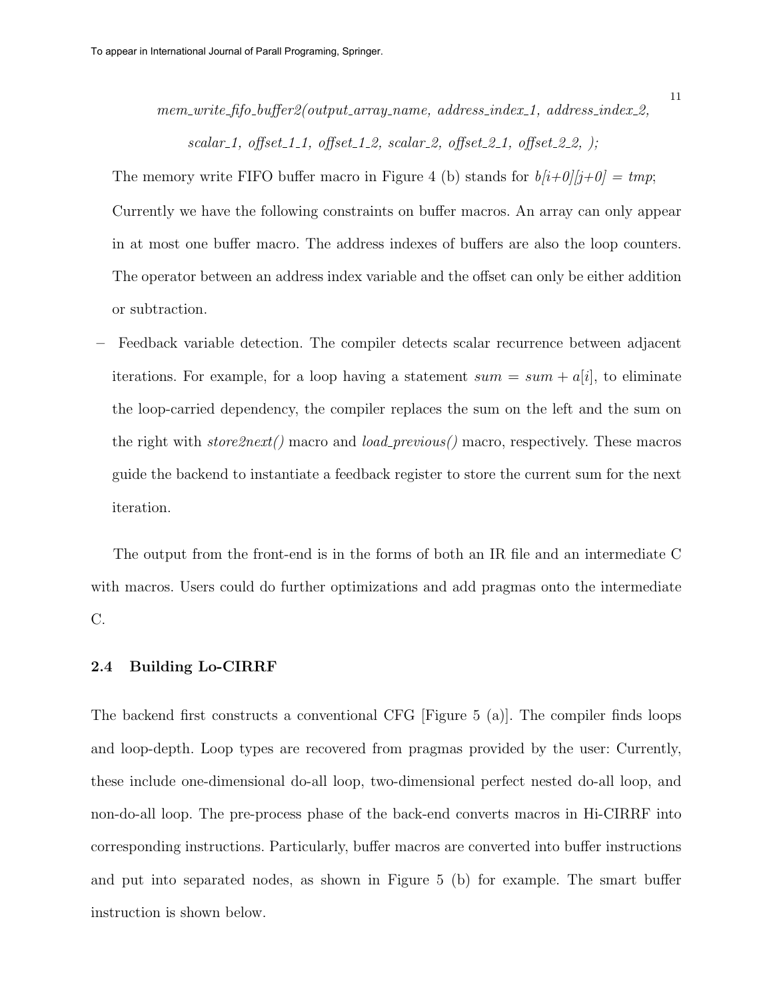mem\_write\_fifo\_buffer2(output\_array\_name, address\_index\_1, address\_index\_2,

scalar\_1, offset\_1\_1, offset\_1\_2, scalar\_2, offset\_2\_1, offset\_2\_2, );

The memory write FIFO buffer macro in Figure 4 (b) stands for  $b[i+0][j+0] = tmp;$ Currently we have the following constraints on buffer macros. An array can only appear in at most one buffer macro. The address indexes of buffers are also the loop counters. The operator between an address index variable and the offset can only be either addition or subtraction.

– Feedback variable detection. The compiler detects scalar recurrence between adjacent iterations. For example, for a loop having a statement  $sum = sum + a[i]$ , to eliminate the loop-carried dependency, the compiler replaces the sum on the left and the sum on the right with store  $2next()$  macro and  $load\_previous()$  macro, respectively. These macros guide the backend to instantiate a feedback register to store the current sum for the next iteration.

The output from the front-end is in the forms of both an IR file and an intermediate C with macros. Users could do further optimizations and add pragmas onto the intermediate C.

#### 2.4 Building Lo-CIRRF

The backend first constructs a conventional CFG [Figure 5 (a)]. The compiler finds loops and loop-depth. Loop types are recovered from pragmas provided by the user: Currently, these include one-dimensional do-all loop, two-dimensional perfect nested do-all loop, and non-do-all loop. The pre-process phase of the back-end converts macros in Hi-CIRRF into corresponding instructions. Particularly, buffer macros are converted into buffer instructions and put into separated nodes, as shown in Figure 5 (b) for example. The smart buffer instruction is shown below.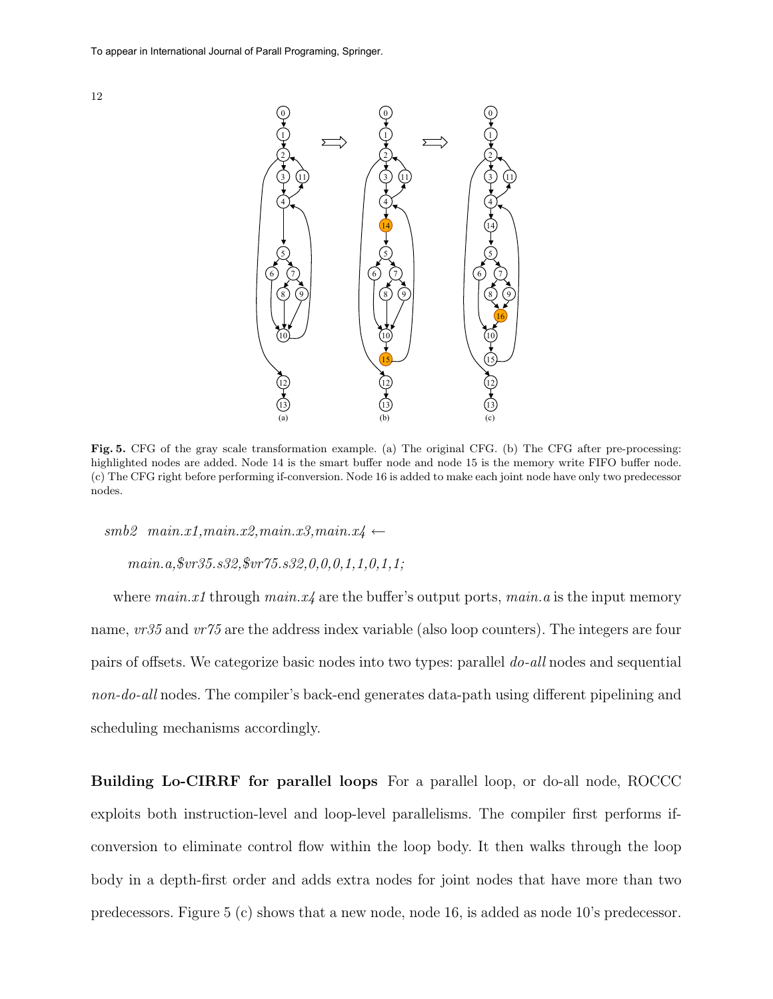



Fig. 5. CFG of the gray scale transformation example. (a) The original CFG. (b) The CFG after pre-processing: highlighted nodes are added. Node 14 is the smart buffer node and node 15 is the memory write FIFO buffer node. (c) The CFG right before performing if-conversion. Node 16 is added to make each joint node have only two predecessor nodes.

 $smb2$  main.x1,main.x2,main.x3,main.x4 ←

main.a,\$vr35.s32,\$vr75.s32,0,0,0,1,1,0,1,1;

where  $main.x1$  through  $main.x4$  are the buffer's output ports,  $main.a$  is the input memory name,  $vr35$  and  $vr75$  are the address index variable (also loop counters). The integers are four pairs of offsets. We categorize basic nodes into two types: parallel do-all nodes and sequential non-do-all nodes. The compiler's back-end generates data-path using different pipelining and scheduling mechanisms accordingly.

Building Lo-CIRRF for parallel loops For a parallel loop, or do-all node, ROCCC exploits both instruction-level and loop-level parallelisms. The compiler first performs ifconversion to eliminate control flow within the loop body. It then walks through the loop body in a depth-first order and adds extra nodes for joint nodes that have more than two predecessors. Figure 5 (c) shows that a new node, node 16, is added as node 10's predecessor.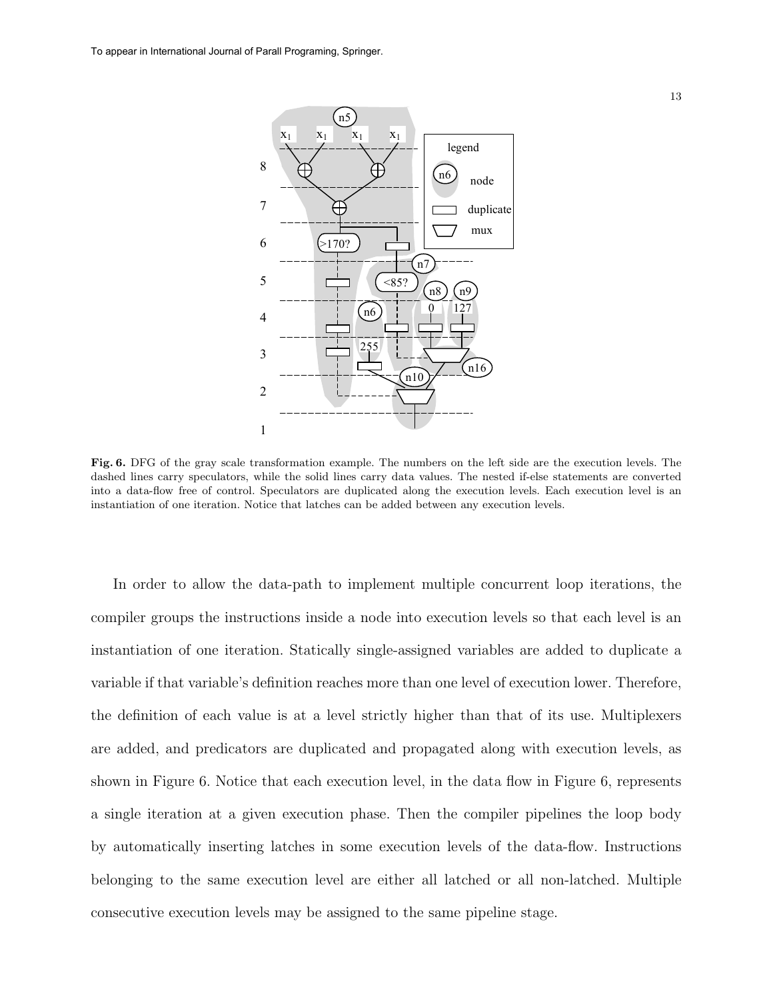

Fig. 6. DFG of the gray scale transformation example. The numbers on the left side are the execution levels. The dashed lines carry speculators, while the solid lines carry data values. The nested if-else statements are converted into a data-flow free of control. Speculators are duplicated along the execution levels. Each execution level is an instantiation of one iteration. Notice that latches can be added between any execution levels.

In order to allow the data-path to implement multiple concurrent loop iterations, the compiler groups the instructions inside a node into execution levels so that each level is an instantiation of one iteration. Statically single-assigned variables are added to duplicate a variable if that variable's definition reaches more than one level of execution lower. Therefore, the definition of each value is at a level strictly higher than that of its use. Multiplexers are added, and predicators are duplicated and propagated along with execution levels, as shown in Figure 6. Notice that each execution level, in the data flow in Figure 6, represents a single iteration at a given execution phase. Then the compiler pipelines the loop body by automatically inserting latches in some execution levels of the data-flow. Instructions belonging to the same execution level are either all latched or all non-latched. Multiple consecutive execution levels may be assigned to the same pipeline stage.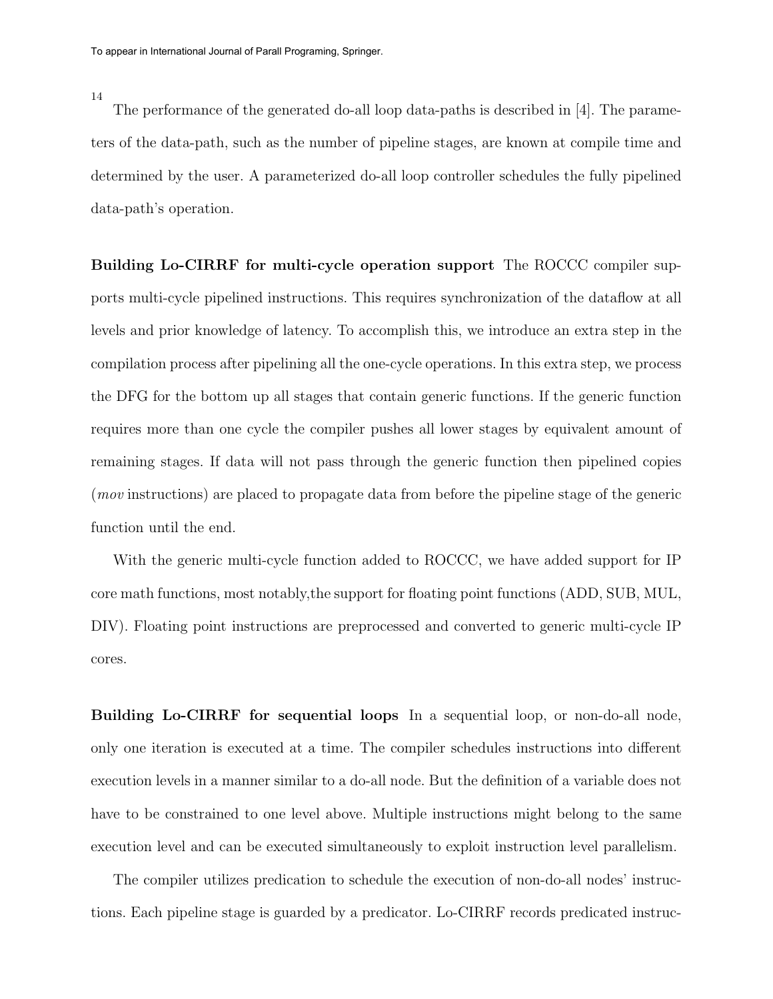14

The performance of the generated do-all loop data-paths is described in [4]. The parameters of the data-path, such as the number of pipeline stages, are known at compile time and determined by the user. A parameterized do-all loop controller schedules the fully pipelined data-path's operation.

Building Lo-CIRRF for multi-cycle operation support The ROCCC compiler supports multi-cycle pipelined instructions. This requires synchronization of the dataflow at all levels and prior knowledge of latency. To accomplish this, we introduce an extra step in the compilation process after pipelining all the one-cycle operations. In this extra step, we process the DFG for the bottom up all stages that contain generic functions. If the generic function requires more than one cycle the compiler pushes all lower stages by equivalent amount of remaining stages. If data will not pass through the generic function then pipelined copies (mov instructions) are placed to propagate data from before the pipeline stage of the generic function until the end.

With the generic multi-cycle function added to ROCCC, we have added support for IP core math functions, most notably,the support for floating point functions (ADD, SUB, MUL, DIV). Floating point instructions are preprocessed and converted to generic multi-cycle IP cores.

Building Lo-CIRRF for sequential loops In a sequential loop, or non-do-all node, only one iteration is executed at a time. The compiler schedules instructions into different execution levels in a manner similar to a do-all node. But the definition of a variable does not have to be constrained to one level above. Multiple instructions might belong to the same execution level and can be executed simultaneously to exploit instruction level parallelism.

The compiler utilizes predication to schedule the execution of non-do-all nodes' instructions. Each pipeline stage is guarded by a predicator. Lo-CIRRF records predicated instruc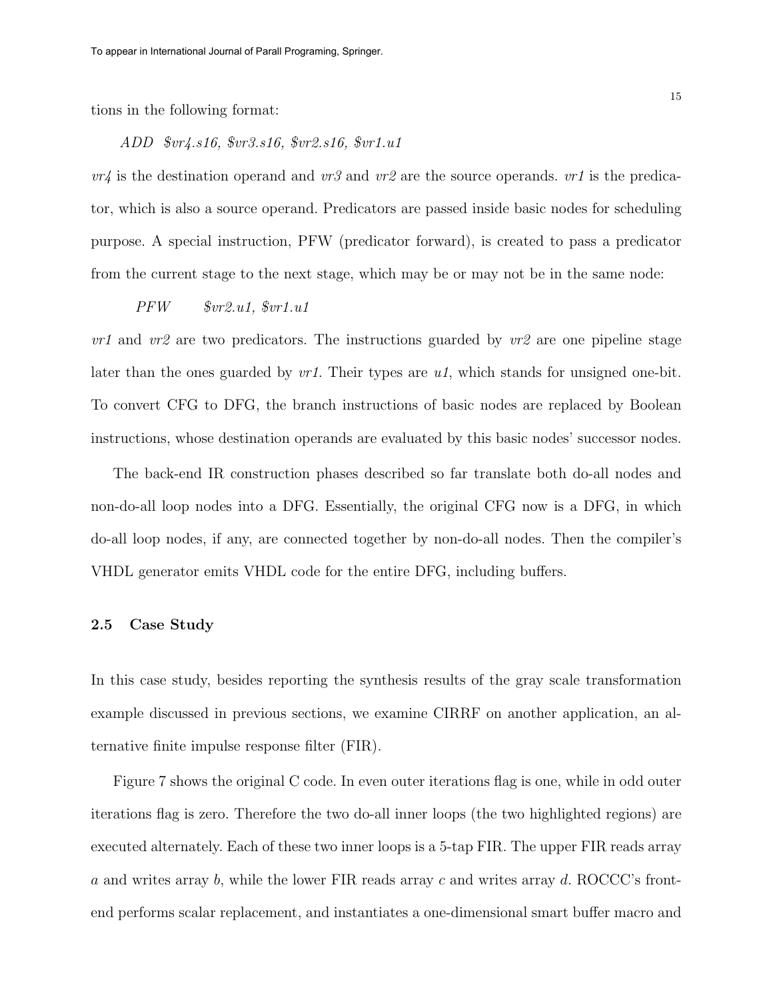tions in the following format:

#### ADD \$vr4.s16, \$vr3.s16, \$vr2.s16, \$vr1.u1

 $vr4$  is the destination operand and  $vr3$  and  $vr2$  are the source operands.  $vr1$  is the predicator, which is also a source operand. Predicators are passed inside basic nodes for scheduling purpose. A special instruction, PFW (predicator forward), is created to pass a predicator from the current stage to the next stage, which may be or may not be in the same node:

#### PFW \$vr2.u1, \$vr1.u1

 $vr1$  and  $vr2$  are two predicators. The instructions guarded by  $vr2$  are one pipeline stage later than the ones guarded by  $vrt$ . Their types are  $u_1$ , which stands for unsigned one-bit. To convert CFG to DFG, the branch instructions of basic nodes are replaced by Boolean instructions, whose destination operands are evaluated by this basic nodes' successor nodes.

The back-end IR construction phases described so far translate both do-all nodes and non-do-all loop nodes into a DFG. Essentially, the original CFG now is a DFG, in which do-all loop nodes, if any, are connected together by non-do-all nodes. Then the compiler's VHDL generator emits VHDL code for the entire DFG, including buffers.

#### 2.5 Case Study

In this case study, besides reporting the synthesis results of the gray scale transformation example discussed in previous sections, we examine CIRRF on another application, an alternative finite impulse response filter (FIR).

Figure 7 shows the original C code. In even outer iterations flag is one, while in odd outer iterations flag is zero. Therefore the two do-all inner loops (the two highlighted regions) are executed alternately. Each of these two inner loops is a 5-tap FIR. The upper FIR reads array a and writes array b, while the lower FIR reads array c and writes array d. ROCCC's frontend performs scalar replacement, and instantiates a one-dimensional smart buffer macro and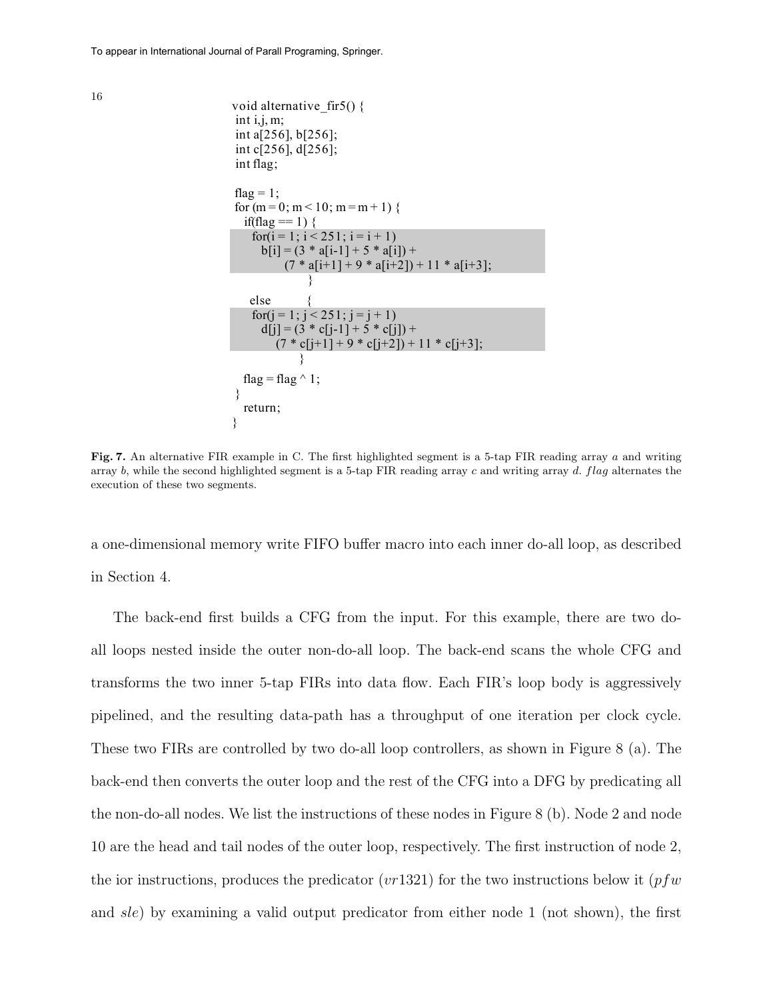

Fig. 7. An alternative FIR example in C. The first highlighted segment is a 5-tap FIR reading array a and writing array b, while the second highlighted segment is a 5-tap FIR reading array c and writing array d. flag alternates the execution of these two segments.

a one-dimensional memory write FIFO buffer macro into each inner do-all loop, as described in Section 4.

The back-end first builds a CFG from the input. For this example, there are two doall loops nested inside the outer non-do-all loop. The back-end scans the whole CFG and transforms the two inner 5-tap FIRs into data flow. Each FIR's loop body is aggressively pipelined, and the resulting data-path has a throughput of one iteration per clock cycle. These two FIRs are controlled by two do-all loop controllers, as shown in Figure 8 (a). The back-end then converts the outer loop and the rest of the CFG into a DFG by predicating all the non-do-all nodes. We list the instructions of these nodes in Figure 8 (b). Node 2 and node 10 are the head and tail nodes of the outer loop, respectively. The first instruction of node 2, the ior instructions, produces the predicator (*vr*1321) for the two instructions below it (*pfw*) and sle) by examining a valid output predicator from either node 1 (not shown), the first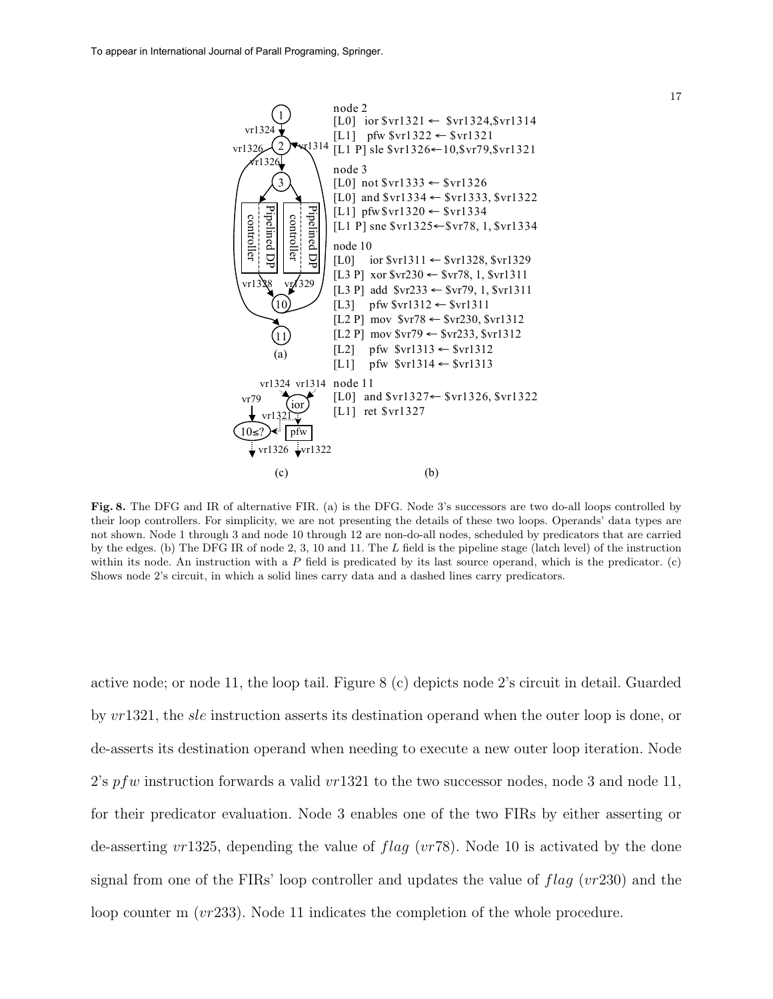

Fig. 8. The DFG and IR of alternative FIR. (a) is the DFG. Node 3's successors are two do-all loops controlled by their loop controllers. For simplicity, we are not presenting the details of these two loops. Operands' data types are not shown. Node 1 through 3 and node 10 through 12 are non-do-all nodes, scheduled by predicators that are carried by the edges. (b) The DFG IR of node 2, 3, 10 and 11. The L field is the pipeline stage (latch level) of the instruction within its node. An instruction with a  $P$  field is predicated by its last source operand, which is the predicator. (c) Shows node 2's circuit, in which a solid lines carry data and a dashed lines carry predicators.

active node; or node 11, the loop tail. Figure 8 (c) depicts node 2's circuit in detail. Guarded by  $vr1321$ , the *sle* instruction asserts its destination operand when the outer loop is done, or de-asserts its destination operand when needing to execute a new outer loop iteration. Node 2's pfw instruction forwards a valid  $vr1321$  to the two successor nodes, node 3 and node 11, for their predicator evaluation. Node 3 enables one of the two FIRs by either asserting or de-asserting  $vr1325$ , depending the value of  $flag (vr78)$ . Node 10 is activated by the done signal from one of the FIRs' loop controller and updates the value of  $flag (vr230)$  and the loop counter m (vr233). Node 11 indicates the completion of the whole procedure.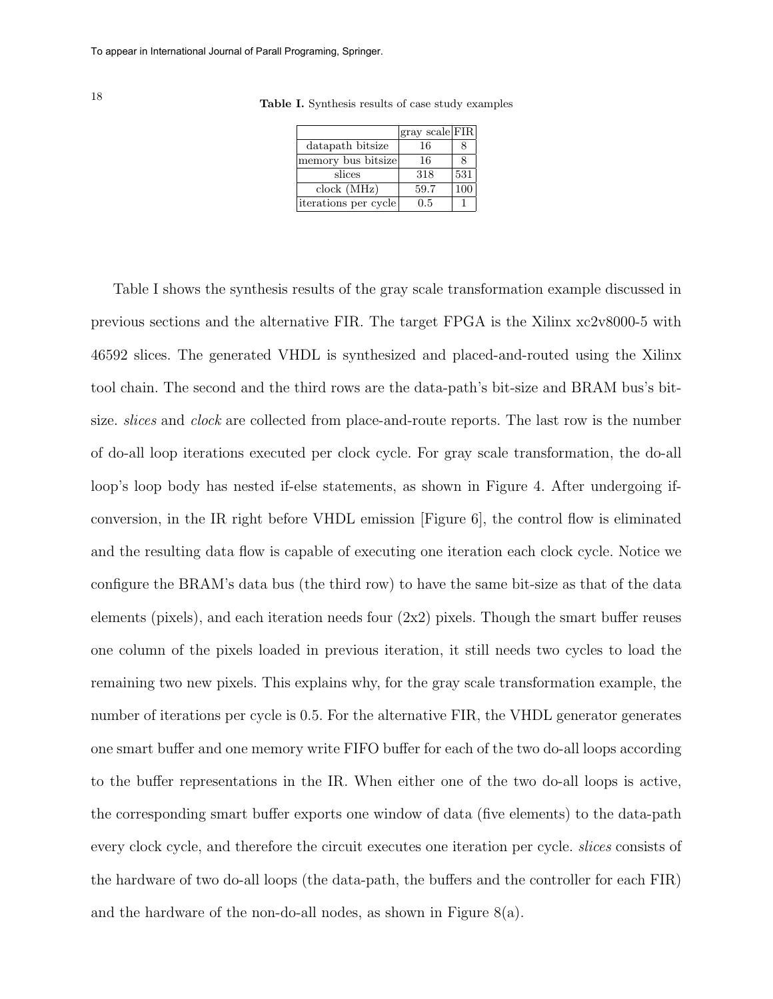|                      | gray scale FIR |     |
|----------------------|----------------|-----|
| datapath bitsize     | 16             | 8   |
| memory bus bitsize   | 16             | 8   |
| slices               | 318            | 531 |
| clock (MHz)          | 59.7           | 100 |
| iterations per cycle | 0.5            |     |

Table I. Synthesis results of case study examples

Table I shows the synthesis results of the gray scale transformation example discussed in previous sections and the alternative FIR. The target FPGA is the Xilinx xc2v8000-5 with 46592 slices. The generated VHDL is synthesized and placed-and-routed using the Xilinx tool chain. The second and the third rows are the data-path's bit-size and BRAM bus's bitsize. *slices* and *clock* are collected from place-and-route reports. The last row is the number of do-all loop iterations executed per clock cycle. For gray scale transformation, the do-all loop's loop body has nested if-else statements, as shown in Figure 4. After undergoing ifconversion, in the IR right before VHDL emission [Figure 6], the control flow is eliminated and the resulting data flow is capable of executing one iteration each clock cycle. Notice we configure the BRAM's data bus (the third row) to have the same bit-size as that of the data elements (pixels), and each iteration needs four  $(2x2)$  pixels. Though the smart buffer reuses one column of the pixels loaded in previous iteration, it still needs two cycles to load the remaining two new pixels. This explains why, for the gray scale transformation example, the number of iterations per cycle is 0.5. For the alternative FIR, the VHDL generator generates one smart buffer and one memory write FIFO buffer for each of the two do-all loops according to the buffer representations in the IR. When either one of the two do-all loops is active, the corresponding smart buffer exports one window of data (five elements) to the data-path every clock cycle, and therefore the circuit executes one iteration per cycle. slices consists of the hardware of two do-all loops (the data-path, the buffers and the controller for each FIR) and the hardware of the non-do-all nodes, as shown in Figure 8(a).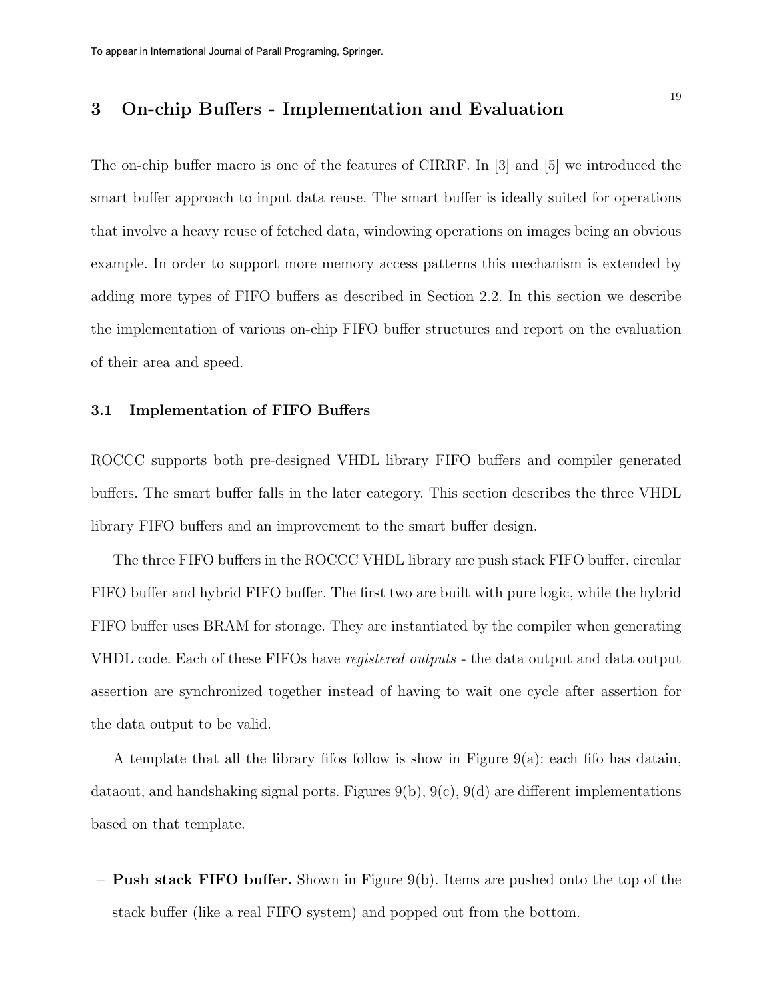## 3 On-chip Buffers - Implementation and Evaluation

The on-chip buffer macro is one of the features of CIRRF. In [3] and [5] we introduced the smart buffer approach to input data reuse. The smart buffer is ideally suited for operations that involve a heavy reuse of fetched data, windowing operations on images being an obvious example. In order to support more memory access patterns this mechanism is extended by adding more types of FIFO buffers as described in Section 2.2. In this section we describe the implementation of various on-chip FIFO buffer structures and report on the evaluation of their area and speed.

#### 3.1 Implementation of FIFO Buffers

ROCCC supports both pre-designed VHDL library FIFO buffers and compiler generated buffers. The smart buffer falls in the later category. This section describes the three VHDL library FIFO buffers and an improvement to the smart buffer design.

The three FIFO buffers in the ROCCC VHDL library are push stack FIFO buffer, circular FIFO buffer and hybrid FIFO buffer. The first two are built with pure logic, while the hybrid FIFO buffer uses BRAM for storage. They are instantiated by the compiler when generating VHDL code. Each of these FIFOs have registered outputs - the data output and data output assertion are synchronized together instead of having to wait one cycle after assertion for the data output to be valid.

A template that all the library fifos follow is show in Figure 9(a): each fifo has datain, dataout, and handshaking signal ports. Figures  $9(b)$ ,  $9(c)$ ,  $9(d)$  are different implementations based on that template.

 $-$  **Push stack FIFO buffer.** Shown in Figure 9(b). Items are pushed onto the top of the stack buffer (like a real FIFO system) and popped out from the bottom.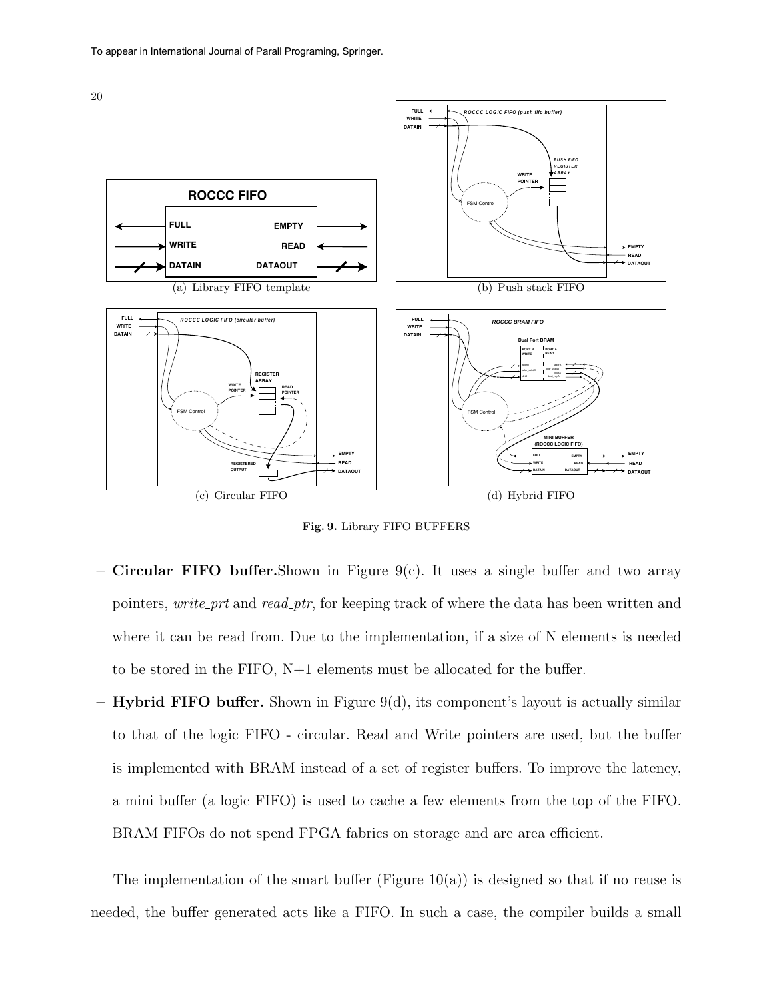



Fig. 9. Library FIFO BUFFERS

- **Circular FIFO buffer.**Shown in Figure 9(c). It uses a single buffer and two array pointers, write prt and read ptr, for keeping track of where the data has been written and where it can be read from. Due to the implementation, if a size of N elements is needed to be stored in the FIFO, N+1 elements must be allocated for the buffer.
- $-$  Hybrid FIFO buffer. Shown in Figure 9(d), its component's layout is actually similar to that of the logic FIFO - circular. Read and Write pointers are used, but the buffer is implemented with BRAM instead of a set of register buffers. To improve the latency, a mini buffer (a logic FIFO) is used to cache a few elements from the top of the FIFO. BRAM FIFOs do not spend FPGA fabrics on storage and are area efficient.

The implementation of the smart buffer (Figure  $10(a)$ ) is designed so that if no reuse is needed, the buffer generated acts like a FIFO. In such a case, the compiler builds a small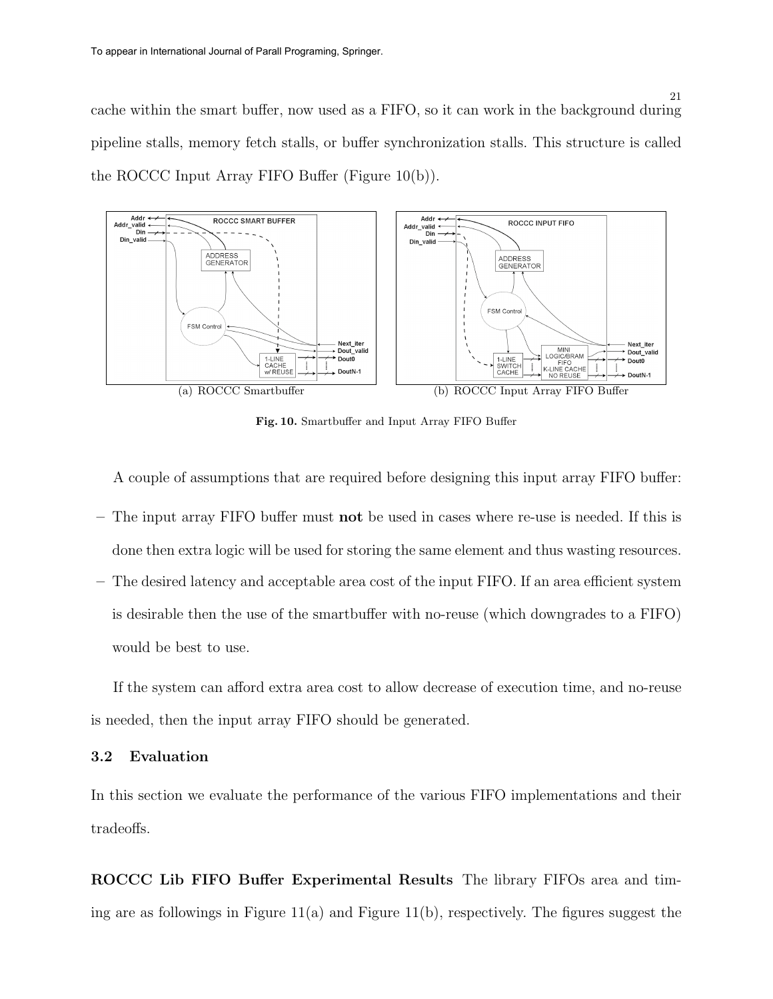cache within the smart buffer, now used as a FIFO, so it can work in the background during pipeline stalls, memory fetch stalls, or buffer synchronization stalls. This structure is called the ROCCC Input Array FIFO Buffer (Figure 10(b)).



Fig. 10. Smartbuffer and Input Array FIFO Buffer

A couple of assumptions that are required before designing this input array FIFO buffer:

- The input array FIFO buffer must not be used in cases where re-use is needed. If this is done then extra logic will be used for storing the same element and thus wasting resources.
- The desired latency and acceptable area cost of the input FIFO. If an area efficient system is desirable then the use of the smartbuffer with no-reuse (which downgrades to a FIFO) would be best to use.

If the system can afford extra area cost to allow decrease of execution time, and no-reuse is needed, then the input array FIFO should be generated.

## 3.2 Evaluation

In this section we evaluate the performance of the various FIFO implementations and their tradeoffs.

ROCCC Lib FIFO Buffer Experimental Results The library FIFOs area and timing are as followings in Figure  $11(a)$  and Figure  $11(b)$ , respectively. The figures suggest the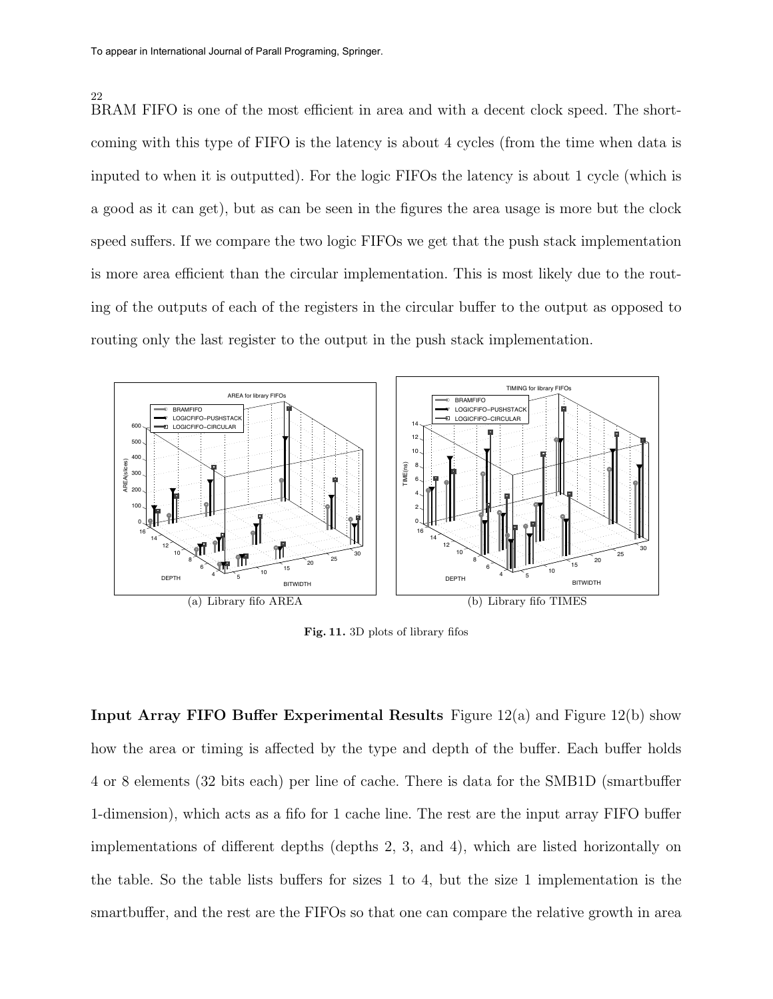22

BRAM FIFO is one of the most efficient in area and with a decent clock speed. The shortcoming with this type of FIFO is the latency is about 4 cycles (from the time when data is inputed to when it is outputted). For the logic FIFOs the latency is about 1 cycle (which is a good as it can get), but as can be seen in the figures the area usage is more but the clock speed suffers. If we compare the two logic FIFOs we get that the push stack implementation is more area efficient than the circular implementation. This is most likely due to the routing of the outputs of each of the registers in the circular buffer to the output as opposed to routing only the last register to the output in the push stack implementation.



Fig. 11. 3D plots of library fifos

**Input Array FIFO Buffer Experimental Results** Figure  $12(a)$  and Figure  $12(b)$  show how the area or timing is affected by the type and depth of the buffer. Each buffer holds 4 or 8 elements (32 bits each) per line of cache. There is data for the SMB1D (smartbuffer 1-dimension), which acts as a fifo for 1 cache line. The rest are the input array FIFO buffer implementations of different depths (depths 2, 3, and 4), which are listed horizontally on the table. So the table lists buffers for sizes 1 to 4, but the size 1 implementation is the smartbuffer, and the rest are the FIFOs so that one can compare the relative growth in area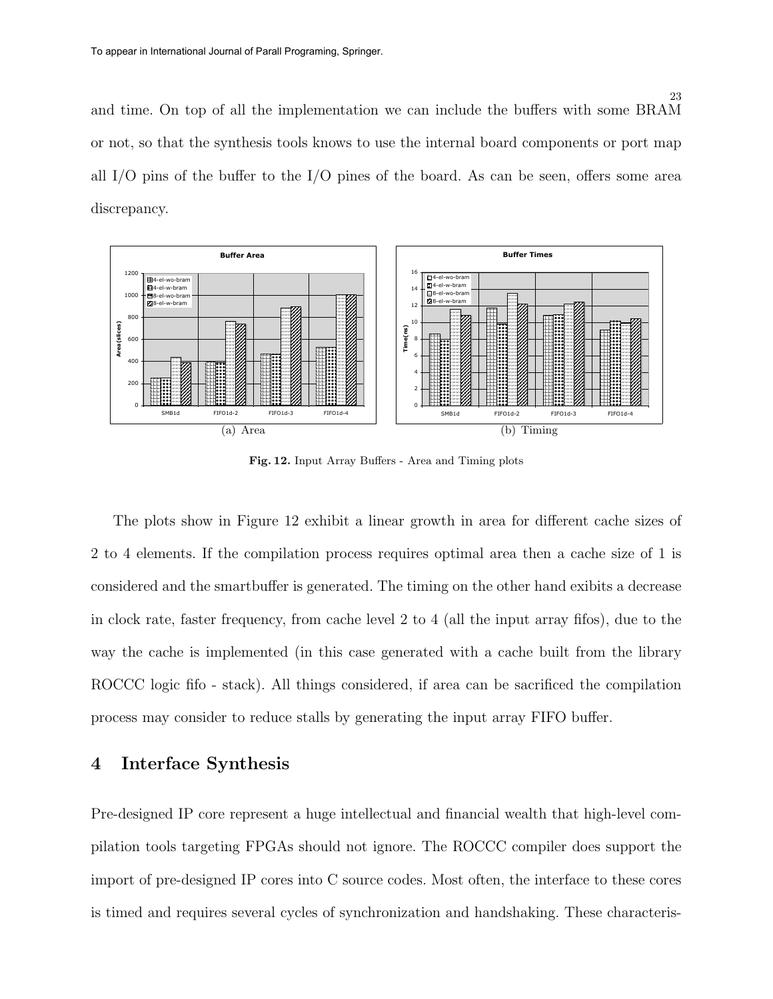and time. On top of all the implementation we can include the buffers with some BRAM or not, so that the synthesis tools knows to use the internal board components or port map all I/O pins of the buffer to the I/O pines of the board. As can be seen, offers some area discrepancy.



Fig. 12. Input Array Buffers - Area and Timing plots

The plots show in Figure 12 exhibit a linear growth in area for different cache sizes of 2 to 4 elements. If the compilation process requires optimal area then a cache size of 1 is considered and the smartbuffer is generated. The timing on the other hand exibits a decrease in clock rate, faster frequency, from cache level 2 to 4 (all the input array fifos), due to the way the cache is implemented (in this case generated with a cache built from the library ROCCC logic fifo - stack). All things considered, if area can be sacrificed the compilation process may consider to reduce stalls by generating the input array FIFO buffer.

## 4 Interface Synthesis

Pre-designed IP core represent a huge intellectual and financial wealth that high-level compilation tools targeting FPGAs should not ignore. The ROCCC compiler does support the import of pre-designed IP cores into C source codes. Most often, the interface to these cores is timed and requires several cycles of synchronization and handshaking. These characteris-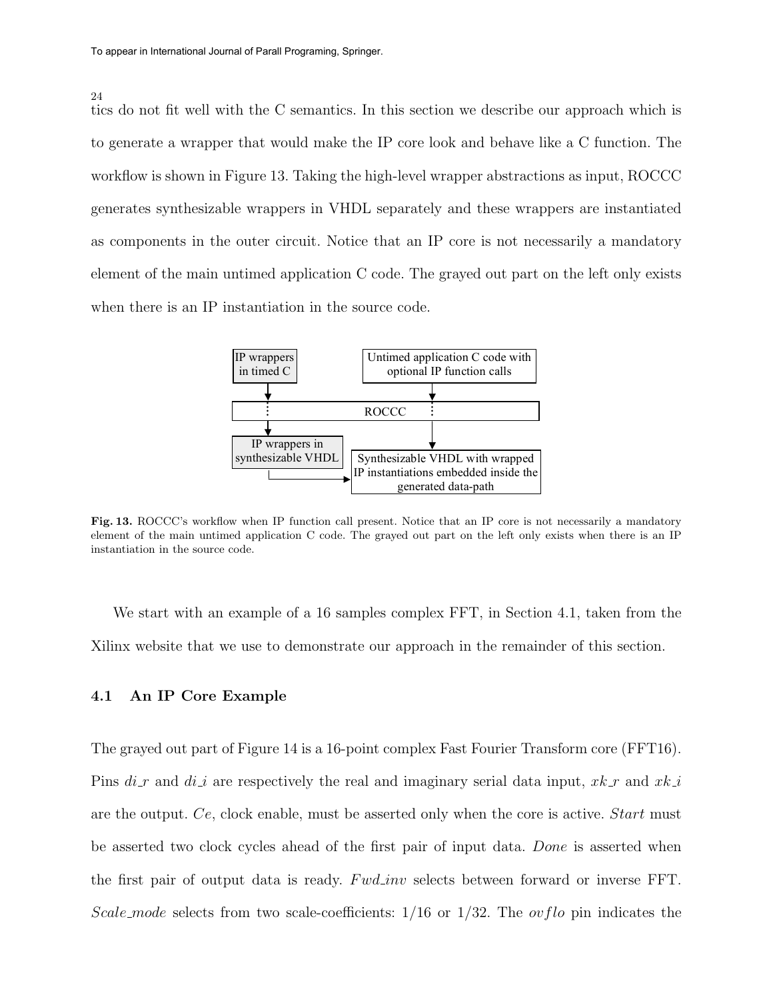#### 24

tics do not fit well with the C semantics. In this section we describe our approach which is to generate a wrapper that would make the IP core look and behave like a C function. The workflow is shown in Figure 13. Taking the high-level wrapper abstractions as input, ROCCC generates synthesizable wrappers in VHDL separately and these wrappers are instantiated as components in the outer circuit. Notice that an IP core is not necessarily a mandatory element of the main untimed application C code. The grayed out part on the left only exists when there is an IP instantiation in the source code.



Fig. 13. ROCCC's workflow when IP function call present. Notice that an IP core is not necessarily a mandatory element of the main untimed application C code. The grayed out part on the left only exists when there is an IP instantiation in the source code.

We start with an example of a 16 samples complex FFT, in Section 4.1, taken from the Xilinx website that we use to demonstrate our approach in the remainder of this section.

#### 4.1 An IP Core Example

The grayed out part of Figure 14 is a 16-point complex Fast Fourier Transform core (FFT16). Pins  $di_r$  and  $di_i$  are respectively the real and imaginary serial data input,  $x^k$  and  $x^k$ are the output. Ce, clock enable, must be asserted only when the core is active. Start must be asserted two clock cycles ahead of the first pair of input data. Done is asserted when the first pair of output data is ready. Fwd inv selects between forward or inverse FFT. Scale mode selects from two scale-coefficients:  $1/16$  or  $1/32$ . The *ovflo* pin indicates the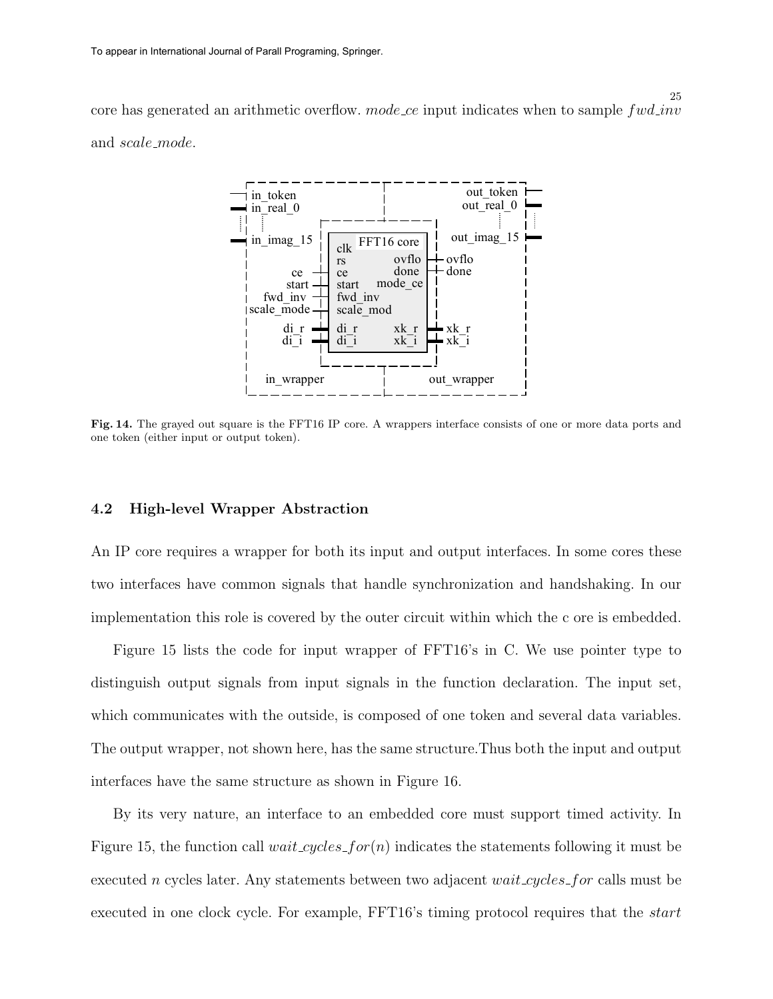core has generated an arithmetic overflow.  $mode\_{ce}$  input indicates when to sample  $fwd\_{inv}$ and scale mode.



Fig. 14. The grayed out square is the FFT16 IP core. A wrappers interface consists of one or more data ports and one token (either input or output token).

#### 4.2 High-level Wrapper Abstraction

An IP core requires a wrapper for both its input and output interfaces. In some cores these two interfaces have common signals that handle synchronization and handshaking. In our implementation this role is covered by the outer circuit within which the c ore is embedded.

Figure 15 lists the code for input wrapper of FFT16's in C. We use pointer type to distinguish output signals from input signals in the function declaration. The input set, which communicates with the outside, is composed of one token and several data variables. The output wrapper, not shown here, has the same structure.Thus both the input and output interfaces have the same structure as shown in Figure 16.

By its very nature, an interface to an embedded core must support timed activity. In Figure 15, the function call *wait cycles for* $(n)$  indicates the statements following it must be executed n cycles later. Any statements between two adjacent  $wait_cycles_f$  calls must be executed in one clock cycle. For example, FFT16's timing protocol requires that the *start*